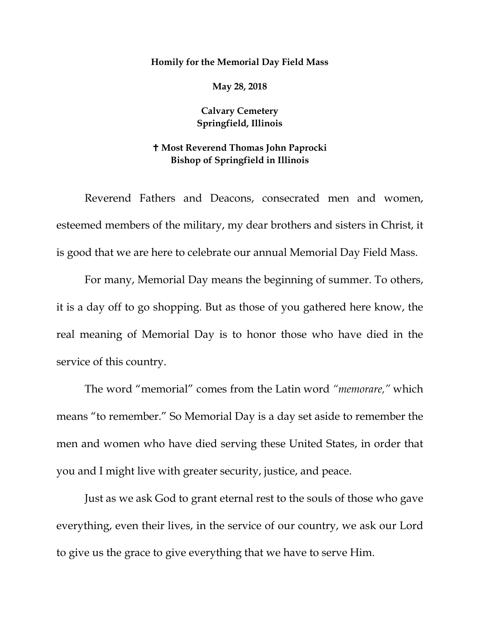## **Homily for the Memorial Day Field Mass**

**May 28, 2018**

## **Calvary Cemetery Springfield, Illinois**

## **Most Reverend Thomas John Paprocki Bishop of Springfield in Illinois**

Reverend Fathers and Deacons, consecrated men and women, esteemed members of the military, my dear brothers and sisters in Christ, it is good that we are here to celebrate our annual Memorial Day Field Mass.

For many, Memorial Day means the beginning of summer. To others, it is a day off to go shopping. But as those of you gathered here know, the real meaning of Memorial Day is to honor those who have died in the service of this country.

The word "memorial" comes from the Latin word *"memorare,"* which means "to remember." So Memorial Day is a day set aside to remember the men and women who have died serving these United States, in order that you and I might live with greater security, justice, and peace.

Just as we ask God to grant eternal rest to the souls of those who gave everything, even their lives, in the service of our country, we ask our Lord to give us the grace to give everything that we have to serve Him.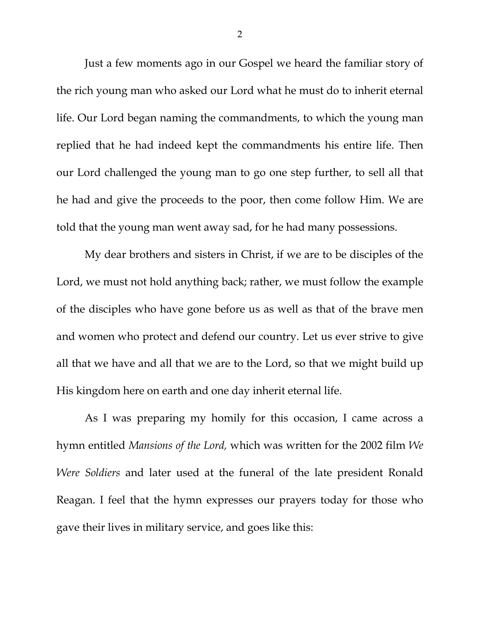Just a few moments ago in our Gospel we heard the familiar story of the rich young man who asked our Lord what he must do to inherit eternal life. Our Lord began naming the commandments, to which the young man replied that he had indeed kept the commandments his entire life. Then our Lord challenged the young man to go one step further, to sell all that he had and give the proceeds to the poor, then come follow Him. We are told that the young man went away sad, for he had many possessions.

My dear brothers and sisters in Christ, if we are to be disciples of the Lord, we must not hold anything back; rather, we must follow the example of the disciples who have gone before us as well as that of the brave men and women who protect and defend our country. Let us ever strive to give all that we have and all that we are to the Lord, so that we might build up His kingdom here on earth and one day inherit eternal life.

As I was preparing my homily for this occasion, I came across a hymn entitled *Mansions of the Lord,* which was written for the 2002 film *We Were Soldiers* and later used at the funeral of the late president Ronald Reagan. I feel that the hymn expresses our prayers today for those who gave their lives in military service, and goes like this: